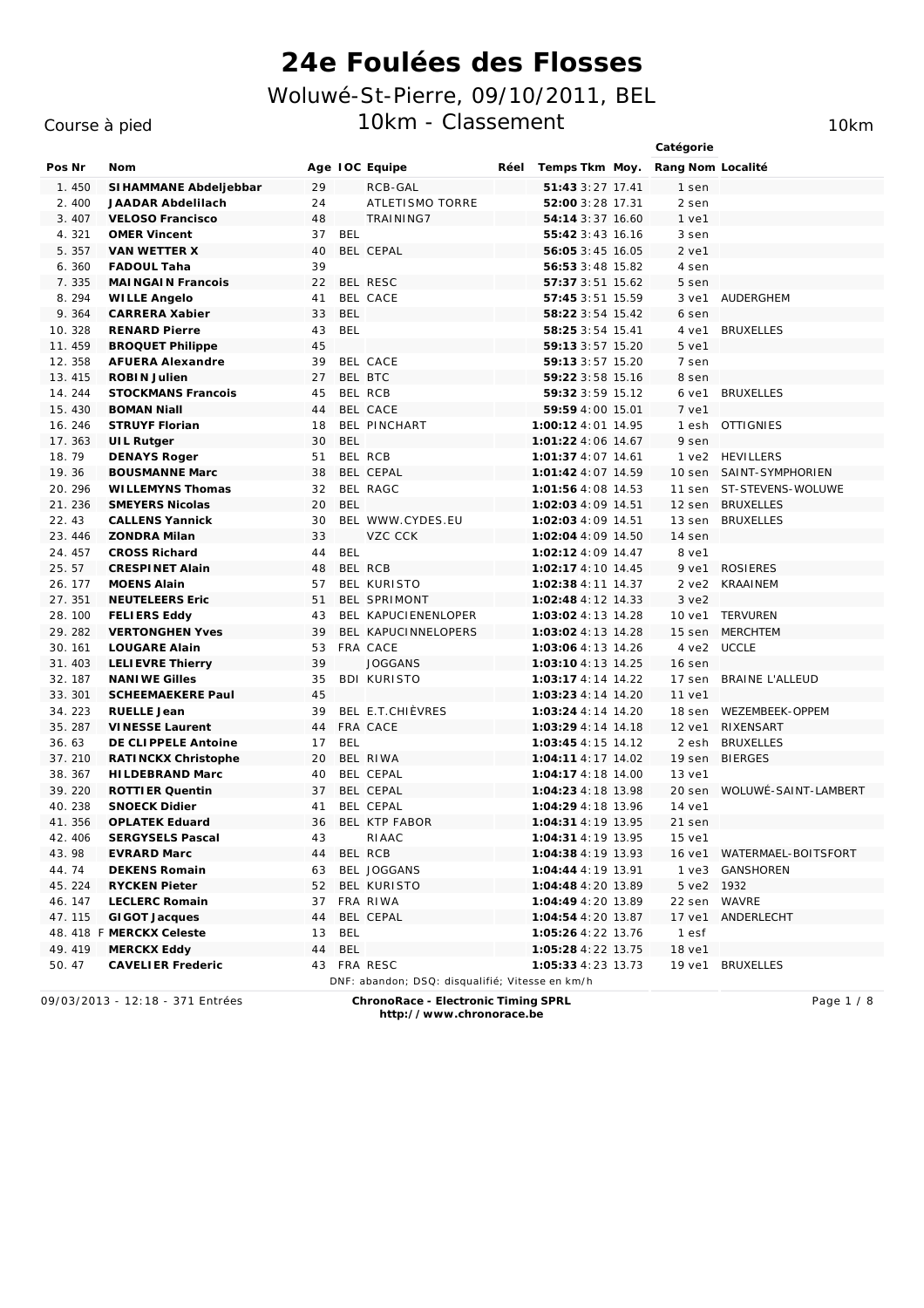### Course à pied

10km

|         |                           |    |            |                                                 |      |                    | Catégorie         |                             |
|---------|---------------------------|----|------------|-------------------------------------------------|------|--------------------|-------------------|-----------------------------|
| Pos Nr  | Nom                       |    |            | Age IOC Equipe                                  | Réel | Temps Tkm Moy.     | Rang Nom Localité |                             |
| 1.450   | SI HAMMANE Abdeljebbar    | 29 |            | RCB-GAL                                         |      | 51:43 3:27 17.41   | 1 sen             |                             |
| 2.400   | JAADAR Abdelilach         | 24 |            | ATLETISMO TORRE                                 |      | 52:00 3:28 17.31   | 2 sen             |                             |
| 3.407   | <b>VELOSO Francisco</b>   | 48 |            | TRAINING7                                       |      | 54:14 3:37 16.60   | $1$ ve $1$        |                             |
| 4.321   | <b>OMER Vincent</b>       | 37 | BEL        |                                                 |      | 55:42 3:43 16.16   | 3 sen             |                             |
| 5.357   | VAN WETTER X              | 40 |            | BEL CEPAL                                       |      | 56:05 3:45 16.05   | $2$ ve $1$        |                             |
| 6.360   | <b>FADOUL Taha</b>        | 39 |            |                                                 |      | 56:53 3:48 15.82   | 4 sen             |                             |
| 7.335   | MAI NGAI N Francois       | 22 |            | BEL RESC                                        |      | 57:37 3:51 15.62   | 5 sen             |                             |
| 8.294   | <b>WILLE Angelo</b>       | 41 |            | BEL CACE                                        |      | 57:45 3:51 15.59   | $3$ ve $1$        | AUDERGHEM                   |
| 9.364   | CARRERA Xabier            | 33 | <b>BEL</b> |                                                 |      | 58:22 3:54 15.42   | 6 sen             |                             |
| 10.328  | <b>RENARD Pierre</b>      | 43 | <b>BEL</b> |                                                 |      | 58:25 3:54 15.41   | 4 ve1             | <b>BRUXELLES</b>            |
| 11.459  | <b>BROQUET Philippe</b>   | 45 |            |                                                 |      | 59:13 3:57 15.20   | 5 ve1             |                             |
| 12.358  | <b>AFUERA Alexandre</b>   | 39 |            | BEL CACE                                        |      | 59:13 3:57 15.20   | 7 sen             |                             |
| 13.415  | <b>ROBIN Julien</b>       | 27 |            | BEL BTC                                         |      | 59:22 3:58 15.16   | 8 sen             |                             |
| 14.244  | <b>STOCKMANS Francois</b> | 45 |            | BEL RCB                                         |      | 59:32 3:59 15.12   | 6 ve1             | <i>BRUXELLES</i>            |
| 15.430  | <b>BOMAN Niall</b>        | 44 |            | BEL CACE                                        |      | 59:59 4:00 15.01   | 7 ve1             |                             |
| 16.246  | <b>STRUYF Florian</b>     | 18 |            | <b>BEL PINCHART</b>                             |      | 1:00:12 4:01 14.95 | 1 esh             | <b>OTTIGNIES</b>            |
| 17.363  | UIL Rutger                | 30 | <b>BEL</b> |                                                 |      | 1:01:22 4:06 14.67 | 9 sen             |                             |
| 18.79   | <b>DENAYS Roger</b>       | 51 |            | BEL RCB                                         |      | 1:01:37 4:07 14.61 |                   | 1 ye2 HEVILLERS             |
| 19.36   | <b>BOUSMANNE Marc</b>     | 38 |            | BEL CEPAL                                       |      | 1:01:42 4:07 14.59 |                   | 10 sen SAINT-SYMPHORIEN     |
| 20.296  | WI LLEMYNS Thomas         | 32 |            | BEL RAGC                                        |      | 1:01:56 4:08 14.53 |                   | 11 sen ST-STEVENS-WOLUWE    |
| 21.236  | <b>SMEYERS Nicolas</b>    | 20 | BEL        |                                                 |      | 1:02:03 4:09 14.51 |                   | 12 sen BRUXELLES            |
| 22.43   | <b>CALLENS Yannick</b>    | 30 |            | BEL WWW.CYDES.EU                                |      | 1:02:03 4:09 14.51 | 13 sen            | <b>BRUXELLES</b>            |
| 23.446  | <b>ZONDRA Milan</b>       | 33 |            | VZC CCK                                         |      | 1:02:04 4:09 14.50 | 14 sen            |                             |
| 24.457  | <b>CROSS Richard</b>      | 44 | <b>BEL</b> |                                                 |      | 1:02:12 4:09 14.47 | 8 ve1             |                             |
| 25.57   | <b>CRESPINET Alain</b>    | 48 |            | BEL RCB                                         |      | 1:02:17 4:10 14.45 |                   | 9 ve1 ROSIERES              |
| 26. 177 | <b>MOENS Alain</b>        | 57 |            | <b>BEL KURISTO</b>                              |      | 1:02:38 4:11 14.37 | $2$ ve $2$        | <b>KRAAINEM</b>             |
| 27.351  | <b>NEUTELEERS Eric</b>    | 51 |            | BEL SPRIMONT                                    |      | 1:02:48 4:12 14.33 | $3$ ve $2$        |                             |
| 28.100  | <b>FELIERS Eddy</b>       | 43 |            | BEL KAPUCIENENLOPER                             |      | 1:03:02 4:13 14.28 | 10 ve1            | <b>TERVUREN</b>             |
| 29.282  | <b>VERTONGHEN Yves</b>    | 39 |            | BEL KAPUCINNELOPERS                             |      | 1:03:02 4:13 14.28 | 15 sen            | <b>MERCHTEM</b>             |
| 30. 161 | LOUGARE Alain             | 53 |            | FRA CACE                                        |      | 1:03:06 4:13 14.26 | 4 ve2             | UCCLE                       |
| 31.403  | <b>LELIEVRE Thierry</b>   | 39 |            | <b>JOGGANS</b>                                  |      | 1:03:10 4:13 14.25 | 16 sen            |                             |
| 32.187  | <b>NANIWE Gilles</b>      | 35 |            | <b>BDI KURISTO</b>                              |      | 1:03:17 4:14 14.22 | 17 sen            | <b>BRAINE L'ALLEUD</b>      |
| 33.301  | <b>SCHEEMAEKERE Paul</b>  | 45 |            |                                                 |      | 1:03:23 4:14 14.20 | 11 ve1            |                             |
| 34.223  | <b>RUELLE Jean</b>        | 39 |            | BEL E.T.CHIÈVRES                                |      | 1:03:24 4:14 14.20 | 18 sen            | WEZEMBEEK-OPPEM             |
| 35.287  | <b>VINESSE Laurent</b>    | 44 |            | FRA CACE                                        |      | 1:03:29 4:14 14.18 | 12 ve1            | RIXENSART                   |
| 36.63   | DE CLIPPELE Antoine       | 17 | <b>BEL</b> |                                                 |      | 1:03:45 4:15 14.12 | 2 esh             | <i>BRUXELLES</i>            |
| 37.210  | RATINCKX Christophe       | 20 |            | BEL RIWA                                        |      | 1:04:11 4:17 14.02 |                   | 19 sen BIERGES              |
| 38.367  | HI LDEBRAND Marc          | 40 |            | BEL CEPAL                                       |      | 1:04:17 4:18 14.00 | 13 ve1            |                             |
| 39.220  | <b>ROTTIER Quentin</b>    | 37 |            | BEL CEPAL                                       |      | 1:04:23 4:18 13.98 |                   | 20 sen WOLUWÉ-SAINT-LAMBERT |
| 40.238  | <b>SNOECK Didier</b>      | 41 |            | BEL CEPAL                                       |      | 1:04:29 4:18 13.96 | 14 ve1            |                             |
| 41.356  | <b>OPLATEK Eduard</b>     | 36 |            | BEL KTP FABOR                                   |      | 1:04:31 4:19 13.95 | 21 sen            |                             |
| 42.406  | <b>SERGYSELS Pascal</b>   | 43 |            | RIAAC                                           |      | 1:04:31 4:19 13.95 | 15 ve1            |                             |
| 43.98   | EVRARD Marc               | 44 |            | BEL RCB                                         |      | 1:04:38 4:19 13.93 |                   | 16 ve1 WATERMAEL-BOITSFORT  |
| 44.74   | DEKENS Romain             | 63 |            | BEL JOGGANS                                     |      | 1:04:44 4:19 13.91 | $1$ $ve3$         | GANSHOREN                   |
| 45.224  | <b>RYCKEN Pieter</b>      | 52 |            | BEL KURISTO                                     |      | 1:04:48 4:20 13.89 | 5 ve2 1932        |                             |
| 46.147  | <b>LECLERC Romain</b>     |    |            | 37 FRA RIWA                                     |      | 1:04:49 4:20 13.89 | 22 sen            | <b>WAVRE</b>                |
| 47.115  | GI GOT Jacques            | 44 |            | BEL CEPAL                                       |      | 1:04:54 4:20 13.87 | 17 ve1            | ANDERLECHT                  |
|         | 48. 418 F MERCKX Celeste  | 13 | BEL        |                                                 |      | 1:05:26 4:22 13.76 | 1 esf             |                             |
| 49.419  | MERCKX Eddy               | 44 | BEL        |                                                 |      | 1:05:28 4:22 13.75 | 18 ve1            |                             |
| 50.47   | <b>CAVELIER Frederic</b>  |    |            | 43 FRA RESC                                     |      | 1:05:33 4:23 13.73 | 19 ve1            | <b>BRUXELLES</b>            |
|         |                           |    |            | DNF: abandon; DSQ: disqualifié; Vitesse en km/h |      |                    |                   |                             |

09/03/2013 - 12:18 - 371 Entrées

ChronoRace - Electronic Timing SPRL

Page 1 / 8

http://www.chronorace.be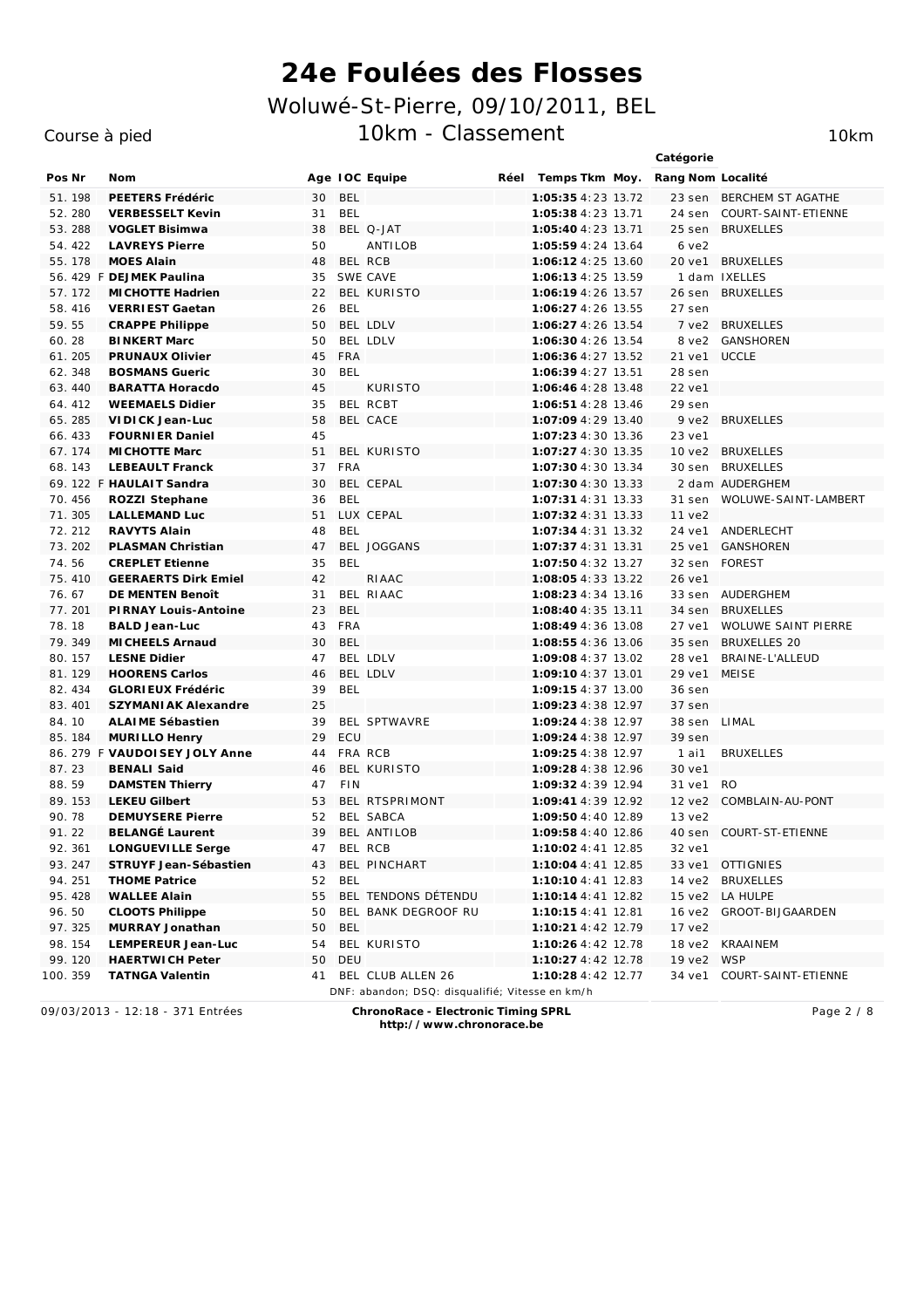Age IOC Equipe

### Course à pied

Nom

Pos Nr

Catégorie Réel Temps Tkm Moy. Rang Nom Localité

|         | 51.198  | PEETERS Frédéric              | 30 | BEL                                             | 1:05:35 4:23 13.72     |            | 23 sen BERCHEM ST AGATHE   |
|---------|---------|-------------------------------|----|-------------------------------------------------|------------------------|------------|----------------------------|
|         | 52.280  | <b>VERBESSELT Kevin</b>       | 31 | <b>BEL</b>                                      | 1:05:38 4:23 13.71     | 24 sen     | COURT-SAINT-ETIENNE        |
|         | 53.288  | <b>VOGLET Bisimwa</b>         | 38 | BEL Q-JAT                                       | 1:05:40 4:23 13.71     | 25 sen     | <b>BRUXELLES</b>           |
|         | 54.422  | <b>LAVREYS Pierre</b>         | 50 | ANTILOB                                         | 1:05:59 4:24 13.64     | 6ve2       |                            |
|         | 55. 178 | <b>MOES Alain</b>             | 48 | BEL RCB                                         | 1:06:12 4:25 13.60     |            | 20 ve1 BRUXELLES           |
|         |         | 56. 429 F DEJMEK Paulina      |    | 35 SWE CAVE                                     | 1:06:13 4:25 13.59     |            | 1 dam IXELLES              |
|         | 57.172  | MI CHOTTE Hadrien             |    | 22 BEL KURISTO                                  | 1:06:19 4:26 13.57     |            | 26 sen BRUXELLES           |
|         | 58.416  | VERRIEST Gaetan               | 26 | <b>BEL</b>                                      | 1:06:27 4:26 13.55     | 27 sen     |                            |
| 59.55   |         | <b>CRAPPE Philippe</b>        | 50 | BEL LDLV                                        | 1:06:27 4:26 13.54     |            | 7 ve2 BRUXELLES            |
| 60.28   |         | <b>BINKERT Marc</b>           | 50 | BEL LDLV                                        | 1:06:30 4:26 13.54     | 8 ve2      | <b>GANSHOREN</b>           |
|         | 61.205  | PRUNAUX Olivier               | 45 | FRA                                             | 1:06:36 4:27 13.52     | 21 ve1     | <b>UCCLE</b>               |
|         | 62.348  | <b>BOSMANS Gueric</b>         | 30 | BEL                                             | 1:06:39 4:27 13.51     | 28 sen     |                            |
|         | 63.440  | <b>BARATTA Horacdo</b>        | 45 | <b>KURISTO</b>                                  | 1:06:46 4:28 13.48     | 22 ve1     |                            |
|         | 64.412  | <b>WEEMAELS Didier</b>        | 35 | BEL RCBT                                        | 1:06:51 4:28 13.46     | 29 sen     |                            |
|         | 65.285  | VIDICK Jean-Luc               | 58 | BEL CACE                                        | 1:07:09 4:29 13.40     |            | 9 ve2 BRUXELLES            |
|         | 66.433  | <b>FOURNIER Daniel</b>        | 45 |                                                 | 1:07:23 4:30 13.36     | 23 ve1     |                            |
|         | 67.174  | MI CHOTTE Marc                | 51 | BEL KURISTO                                     | 1:07:27 4:30 13.35     |            | 10 ye2 BRUXELLES           |
|         | 68.143  | <b>LEBEAULT Franck</b>        | 37 | FRA                                             | 1:07:30 4:30 13.34     |            | 30 sen BRUXELLES           |
|         |         | 69. 122 F HAULAIT Sandra      | 30 | BEL CEPAL                                       | 1:07:30 4:30 13.33     |            | 2 dam AUDERGHEM            |
|         | 70.456  | ROZZI Stephane                | 36 | BEL                                             | 1:07:31 4:31 13.33     | 31 sen     | WOLUWE-SAINT-LAMBERT       |
|         | 71.305  | LALLEMAND Luc                 | 51 | LUX CEPAL                                       | $1:07:324:31$ $13.33$  | 11 ve2     |                            |
|         | 72.212  | RAVYTS Alain                  | 48 | <b>BEL</b>                                      | 1:07:34 4:31 13.32     | 24 ve1     | ANDERLECHT                 |
|         | 73.202  | PLASMAN Christian             | 47 | BEL JOGGANS                                     | 1:07:37 4:31 13.31     | 25 ve1     | <b>GANSHOREN</b>           |
| 74.56   |         | <b>CREPLET Etienne</b>        | 35 | <b>BEL</b>                                      | 1:07:50 4:32 13.27     | 32 sen     | <b>FOREST</b>              |
|         | 75.410  | <b>GEERAERTS Dirk Emiel</b>   | 42 | RIAAC                                           | 1:08:05 4:33 13.22     | 26 ve1     |                            |
| 76.67   |         | DE MENTEN Benoît              | 31 | BEL RIAAC                                       | 1:08:23 4:34 13.16     |            | 33 sen AUDERGHEM           |
|         | 77.201  | PIRNAY Louis-Antoine          | 23 | <b>BEL</b>                                      | 1:08:40 4:35 13.11     | 34 sen     | <b>BRUXELLES</b>           |
| 78.18   |         | <b>BALD Jean-Luc</b>          | 43 | FRA                                             | 1:08:49 4:36 13.08     | 27 ve1     | <b>WOLUWE SAINT PIERRE</b> |
|         | 79.349  | MI CHEELS Arnaud              | 30 | <b>BEL</b>                                      | 1:08:55 4:36 13.06     | 35 sen     | <b>BRUXELLES 20</b>        |
|         | 80. 157 | <b>LESNE Didier</b>           | 47 | BEL LDLV                                        | 1:09:08 4:37 13.02     | 28 ve1     | <b>BRAINE-L'ALLEUD</b>     |
|         | 81.129  | <b>HOORENS Carlos</b>         | 46 | BEL LDLV                                        | 1:09:10 4:37 13.01     | 29 ve1     | <b>MEISE</b>               |
|         | 82.434  | GLORI EUX Frédéric            | 39 | <b>BEL</b>                                      | 1:09:15 4:37 13.00     | 36 sen     |                            |
|         | 83.401  | SZYMANI AK Alexandre          | 25 |                                                 | 1:09:23 4:38 12.97     | 37 sen     |                            |
| 84.10   |         | ALAIME Sébastien              | 39 | BEL SPTWAVRE                                    | 1:09:24 4:38 12.97     | 38 sen     | LIMAL                      |
|         | 85.184  | MURILLO Henry                 | 29 | ECU                                             | 1:09:24 4:38 12.97     | 39 sen     |                            |
|         |         | 86. 279 F VAUDOISEY JOLY Anne | 44 | FRA RCB                                         | 1:09:25 4:38 12.97     | $1$ ai $1$ | <b>BRUXELLES</b>           |
| 87.23   |         | <b>BENALI Said</b>            | 46 | BEL KURISTO                                     | 1:09:28 4:38 12.96     | 30 ve1     |                            |
| 88.59   |         | <b>DAMSTEN Thierry</b>        | 47 | <b>FIN</b>                                      | 1:09:32 4:39 12.94     | 31 ve1     | RO.                        |
|         | 89. 153 | <b>LEKEU Gilbert</b>          | 53 | BEL RTSPRIMONT                                  | 1:09:41 4:39 12.92     | 12 ve2     | COMBLAIN-AU-PONT           |
| 90.78   |         | <b>DEMUYSERE Pierre</b>       | 52 | BEL SABCA                                       | 1:09:50 4:40 12.89     | 13 ve2     |                            |
| 91.22   |         | <b>BELANGÉ Laurent</b>        | 39 | BEL ANTILOB                                     | 1:09:58 4:40 12.86     |            | 40 sen COURT-ST-ETIENNE    |
|         | 92.361  | LONGUEVILLE Serge             | 47 | BEL RCB                                         | 1:10:02 4:41 12.85     | 32 ve1     |                            |
|         | 93.247  | STRUYF Jean-Sébastien         | 43 | BEL PINCHART                                    | $1:10:04$ 4:41 $12.85$ |            | 33 ve1 OTTIGNIES           |
|         | 94.251  | <b>THOME Patrice</b>          | 52 | <b>BEL</b>                                      | 1:10:10 4:41 12.83     |            | 14 ve2 BRUXELLES           |
|         | 95.428  | <b>WALLEE Alain</b>           | 55 | BEL TENDONS DÉTENDU                             | 1:10:14 4:41 12.82     |            | 15 ye2 LA HULPE            |
| 96.50   |         | <b>CLOOTS Philippe</b>        | 50 | BEL BANK DEGROOF RU                             | 1:10:15 4:41 12.81     | 16 ve2     | GROOT-BIJGAARDEN           |
|         | 97.325  | MURRAY Jonathan               | 50 | BEL                                             | 1:10:21 4:42 12.79     | 17 ve2     |                            |
|         | 98. 154 | LEMPEREUR Jean-Luc            | 54 | BEL KURISTO                                     | 1:10:26 4:42 12.78     |            | 18 ve2 KRAAINEM            |
|         | 99.120  | <b>HAERTWICH Peter</b>        | 50 | DEU                                             | 1:10:27 4:42 12.78     | 19 ve2     | <b>WSP</b>                 |
| 100.359 |         | <b>TATNGA Valentin</b>        | 41 | BEL CLUB ALLEN 26                               | 1:10:28 4:42 12.77     |            | 34 ve1 COURT-SAINT-ETIENNE |
|         |         |                               |    | DNF: abandon; DSQ: disqualifié; Vitesse en km/h |                        |            |                            |

09/03/2013 - 12:18 - 371 Entrées

ChronoRace - Electronic Timing SPRL http://www.chronorace.be

Page 2 / 8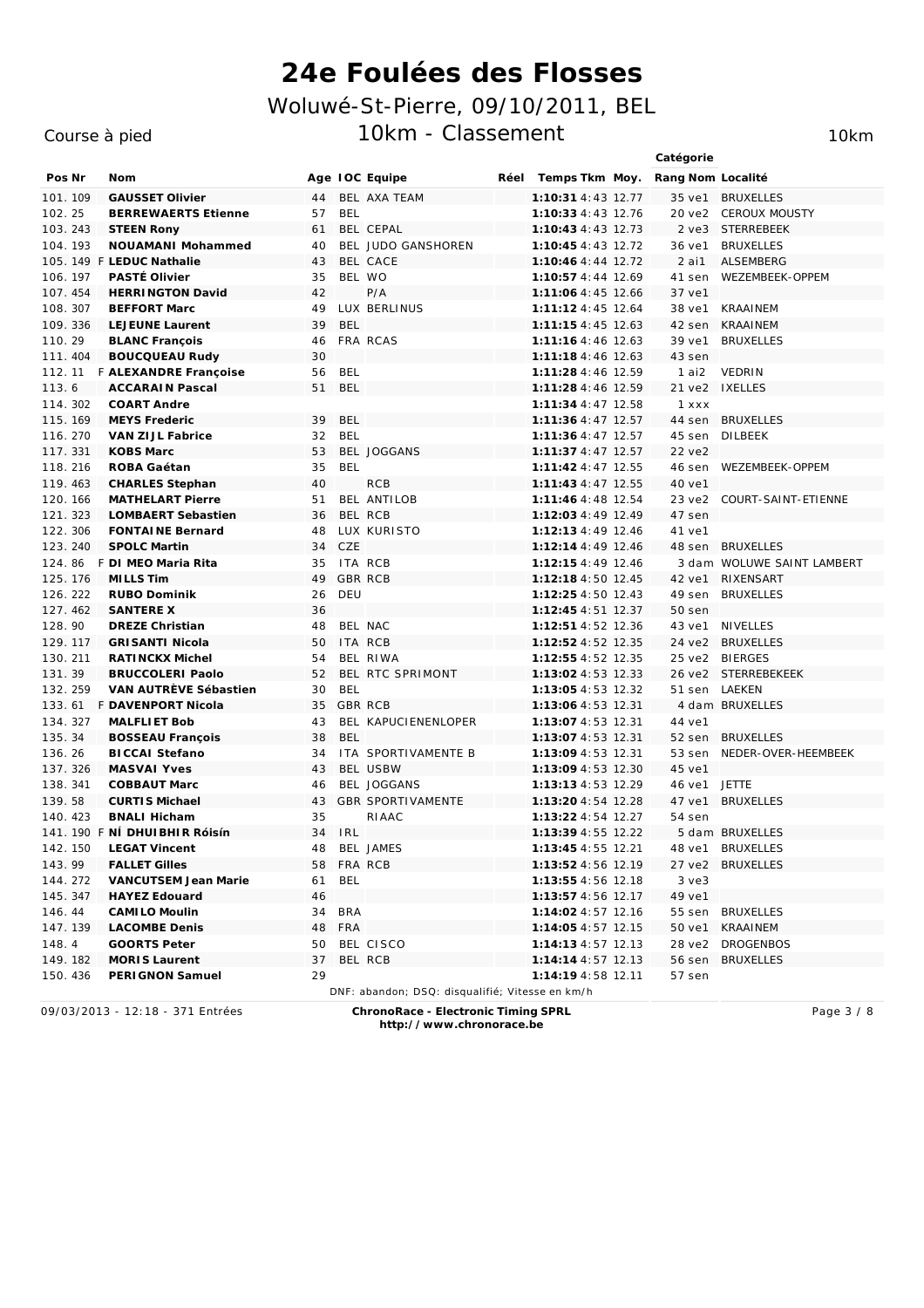#### Course à pied

Catégorie Pos Nr Nom Age TOC Equipe Réel Temps Tkm Moy. Rang Nom Localité 101. 109 GAUSSET Olivier 44 BEL AXA TEAM 1:10:31 4:43 12.77 35 ve1 BRUXELLES  $102.25$ **BERREWAERTS Etienne** 57 **BFL**  $1:10:334:43$  12.76 20 ye2 CFROUX MOUSTY **STEEN Rony** 103.243 61 BEL CEPAL 1:10:43 4:43 12.73 2 ve3 STERREBEEK NOUAMANI Mohammed BEL JUDO GANSHOREN 36 ve1 BRUXELLES 104. 193  $40$  $1:10:454:372$ 105. 149 F LEDUC Nathalie  $43$ BFL CACE 1:10:46 4:44 12.72  $2$  ai1 **ALSEMBERG** 106 107 **PASTÉ Olivier**  $35$ REL WO  $1.10.57 A.44 1269$  $41$  sen **IN/EZEMBEEK-OPPEM** 107.454 **HERRINGTON David**  $P/A$ 1:11:06 4:45 12.66 37 ve1  $42$ **BEFFORT Marc** LUX BERLINUS 108.307 49 1:11:12 4:45 12.64 38 ve1 **KRAAINEM** 109 336 LE JELINE Laurent  $39$ **REL**  $1.11.154.451263$  $42$  sen **KRAAINFM** 39 ve1 110.29 **BLANC François** FRA RCAS 1:11:16 4:46 12.63 **BRUXELLES**  $46$ **BOUCQUEAU Rudy** 30 1:11:18 4:46 12.63 111.404 43 sen 112 11 F ALEXANDRE Francoise **RFI**  $1.11.284.46$  12.59 **VFDRIN** 56  $1$  ai2  $113.6$ **ACCARAIN Pascal** 51 **BFI** 1:11:28 4:46 12.59 21 ve2 IXELLES 114 302 COART Andre  $1.11.344.4777$  $1 x x x$ MEYS Frederic  $1:11:364:37$   $12.57$ 115. 169 39 **BFL** 44 sen **BRUXFLLES** 116.270 VAN ZIJL Fabrice  $32$ **BEL** 1:11:36 4:47 12.57 45 sen **DILBEEK**  $1:11:374:27712.57$ REL IOGGANS 117 331 KOBS Marc 53  $22$  Ve2 118.216 1:11:42 4:47 12.55 ROBA Gaétan  $35$ **BFL** 46 sen WFZFMBFFK-OPPFM 119.463 **CHARLES Stephan** 40 **RCB**  $1:11:434:4772.55$ 40 ve1 120. 166 **MATHFLART Pierre**  $51$ BEL ANTILOR  $1.11.464.481754$  $23 \text{ V} - 2$ COURT-SAINT-FTIENNE 121.323 **LOMBAERT Sebastien** 36 BEL RCB 1:12:03 4:49 12.49 47 sen 122 306 **FONTAINE Bernard** 48 **TUX KURISTO**  $1.12.134.49$  1246 41 ve1  $123, 240$ SPOLC Martin  $CZF$  $1.12.144.497246$ 48 sen BRUXFLLFS  $34$ 124. 86 F DI MEO Maria Rita 35 ITA RCB 1:12:15 4:49 12.46 3 dam WOLUWE SAINT LAMBERT 125. 176 MILLS Tim  $\overline{A}$ GBR RCB 1:12:18 4:50 12.45 42 ve1 RIXENSART  $126, 222$ RUBO Dominik DELI  $1.12.254.507243$  $49$  sen  $BRIIYFIIFS$  $26$ 127.462 SANTERE X 36  $1.12.454.5172.37$  $50$  sen  $128.90$ DREZE Christian  $\overline{AB}$ REL NAC  $1.12.51A.5272$  $43 \text{ V} \oplus 1$   $NIVFIIFS$ ITA RCB 24 ye2 BRUXELLES 129 117 **GRISANTI Nicola**  $1.12.524.527235$  $50$ 130.211 RATINCKX Michel 54 BFL RIWA  $1:12:554:52$  12.35 25 ye2 BIFRGFS 131.39 **BRUCCOLFRI Paolo** 52 BEL RTC SPRIMONT  $1:13:02$  4:53  $12.33$ 26 ve2 STERREBEKEEK VAN AUTRÈVE Sébastien  $30^{\circ}$ **BFI** 1:13:05 4:53 12.32 51 sen LAEKEN 132.259 133.61 F DAVENPORT Nicola 35 GBR RCB 1:13:06 4:53 12.31 4 dam BRUXELLES MALEL LET Bob  $1:13:074:53$  12.31 134 327 43 BEL KAPUCIENENLOPER 44 ve1 135.34 **BOSSEAU François** 38 **BFI** 1:13:07 4:53 12.31 52 sen BRUXELLES 136.26 **BICCAI Stefano**  $34$ ITA SPORTIVAMENTE B 1:13:09 4:53 12.31 53 sen NEDER-OVER-HEEMBEEK **REL LISRW** 137.326 MASVAL YVes  $43$  $1:13:094:53$   $12.30$  $45$   $V<sub>P</sub>1$ 138.341 COBBAUT Marc BEL JOGGANS 1:13:13 4:53 12.29 **JETTE** 46 46 ve1 139.58 **CURTIS Michael** 43 **GBR SPORTIVAMENTE**  $1:13:204:54$   $12.28$ 47 ve1 **BRUXFLLES**  $1.13.224.54727$  $140.423$ **BNALL Hicham**  $35$  $54$  sen  $RIAAC$ 141. 190 F NÍ DHUIBHIR Róisír IRL 1:13:39 4:55 12.22 5 dam BRUXELLES 34 142.150 **LEGAT Vincent**  $\overline{AB}$ REL JAMES  $1:13:454:557221$ 48 ye1 BRUXFLLFS **FALLET Gilles** FRA RCB 27 ye2 BRUXELLES 143 99 58  $1.13.524.56$  12 19 VANCUTSEM Jean Marie **REI** 1:13:55 4:56 12.18 144.272 61  $3 \text{ v}e3$ 1:13:57 4:56 12.17 145.347 **HAYEZ Edouard** 46 49 ve1 CAMI LO Moulin **BRA** 1:14:02 4:57 12.16 55 sen BRUXELLES 146.44 34 147.139 **LACOMBE Denis** 48 FRA 1:14:05 4:57 12.15 50 ve1 KRAAINEM GOORTS Peter 50 BEL CISCO 28 ye2 DROGENBOS  $148.4$  $1.14.134.57$   $12.13$ 149 182 MORLS Laurent  $37$ BEL RCB  $1.14.144.57$  12 13 56 sen BRUXELLES 150.436 PERI GNON Samuel 29 1:14:19 4:58 12.11 57 sen DNF: abandon; DSQ: disqualifié; Vitesse en km/h

09/03/2013 - 12:18 - 371 Entrées

ChronoRace - Electronic Timing SPRL http://www.chronorace.be

Page 3 / 8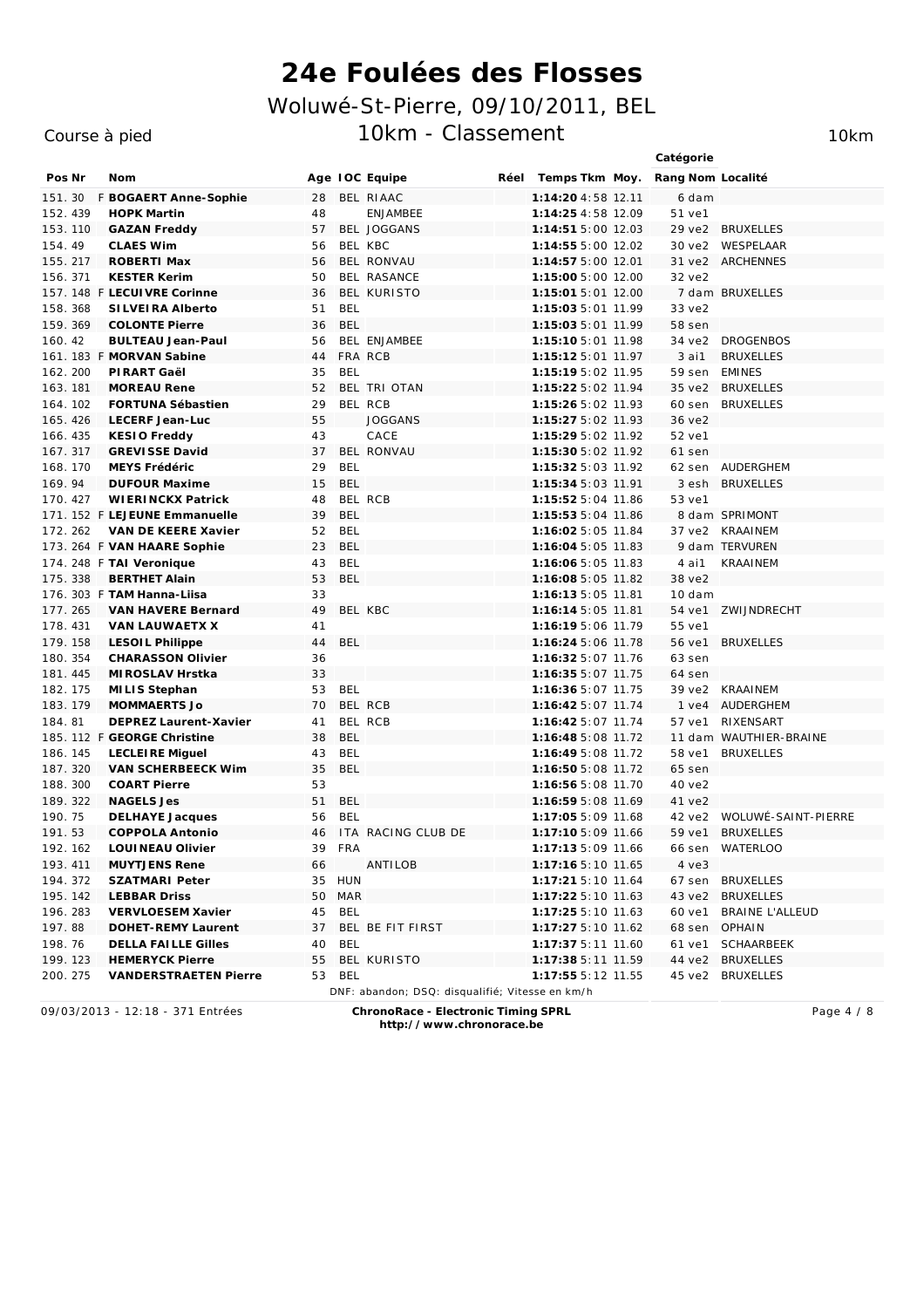### Course à pied

10km

|          |                               |    |            |                                                 |      |                    | Catégorie         |                            |
|----------|-------------------------------|----|------------|-------------------------------------------------|------|--------------------|-------------------|----------------------------|
| Pos Nr   | Nom                           |    |            | Age IOC Equipe                                  | Réel | Temps Tkm Moy.     | Rang Nom Localité |                            |
| 151.30   | F BOGAERT Anne-Sophie         | 28 |            | BEL RIAAC                                       |      | 1:14:20 4:58 12.11 | 6 dam             |                            |
| 152.439  | <b>HOPK Martin</b>            | 48 |            | <b>ENJAMBEE</b>                                 |      | 1:14:25 4:58 12.09 | 51 ve1            |                            |
| 153.110  | <b>GAZAN Freddy</b>           | 57 |            | <b>BEL JOGGANS</b>                              |      | 1:14:51 5:00 12.03 | 29 ve2            | <b>BRUXELLES</b>           |
| 154.49   | <b>CLAES Wim</b>              | 56 |            | BEL KBC                                         |      | 1:14:55 5:00 12.02 | 30 ve2            | <b>WESPELAAR</b>           |
| 155.217  | ROBERTI Max                   | 56 |            | BEL RONVAU                                      |      | 1:14:57 5:00 12.01 | 31 ve2            | <b>ARCHENNES</b>           |
| 156.371  | <b>KESTER Kerim</b>           | 50 |            | BEL RASANCE                                     |      | 1:15:00 5:00 12.00 | 32 ve2            |                            |
|          | 157. 148 F LECUI VRE Corinne  | 36 |            | BEL KURISTO                                     |      | 1:15:01 5:01 12.00 |                   | 7 dam BRUXELLES            |
| 158.368  | SILVEIRA Alberto              | 51 | <b>BEL</b> |                                                 |      | 1:15:03 5:01 11.99 | 33 ve2            |                            |
| 159.369  | <b>COLONTE Pierre</b>         | 36 | <b>BEL</b> |                                                 |      | 1:15:03 5:01 11.99 | 58 sen            |                            |
| 160.42   | <b>BULTEAU Jean-Paul</b>      | 56 |            | BEL ENJAMBEE                                    |      | 1:15:10 5:01 11.98 | 34 ve2            | <b>DROGENBOS</b>           |
|          | 161. 183 F MORVAN Sabine      | 44 |            | FRA RCB                                         |      | 1:15:12 5:01 11.97 | $3$ ai $1$        | <b>BRUXELLES</b>           |
| 162.200  | PI RART Gaël                  | 35 | <b>BEL</b> |                                                 |      | 1:15:19 5:02 11.95 | 59 sen            | <b>EMINES</b>              |
| 163.181  | <b>MOREAU Rene</b>            | 52 |            | BEL TRI OTAN                                    |      | 1:15:22 5:02 11.94 | 35 ve2            | <b>BRUXELLES</b>           |
| 164. 102 | FORTUNA Sébastien             | 29 |            | BEL RCB                                         |      | 1:15:26 5:02 11.93 | 60 sen            | <b>BRUXELLES</b>           |
| 165.426  | LECERF Jean-Luc               | 55 |            | <b>JOGGANS</b>                                  |      | 1:15:27 5:02 11.93 | 36 ve2            |                            |
| 166.435  | KESIO Freddy                  | 43 |            | CACE                                            |      | 1:15:29 5:02 11.92 | 52 ve1            |                            |
| 167.317  | <b>GREVISSE David</b>         | 37 |            | BEL RONVAU                                      |      | 1:15:30 5:02 11.92 | 61 sen            |                            |
| 168.170  | MEYS Frédéric                 | 29 | <b>BEL</b> |                                                 |      | 1:15:32 5:03 11.92 | 62 sen            | <b>AUDERGHEM</b>           |
| 169.94   | <b>DUFOUR Maxime</b>          | 15 | <b>BEL</b> |                                                 |      | 1:15:34 5:03 11.91 | 3 esh             | <b>BRUXELLES</b>           |
| 170.427  | <b>WIERINCKX Patrick</b>      | 48 |            | BEL RCB                                         |      | 1:15:52 5:04 11.86 | 53 ve1            |                            |
|          | 171. 152 F LEJEUNE Emmanuelle | 39 | <b>BEL</b> |                                                 |      | 1:15:53 5:04 11.86 |                   | 8 dam SPRIMONT             |
| 172.262  | VAN DE KEERE Xavier           | 52 | <b>BEL</b> |                                                 |      | 1:16:02 5:05 11.84 | 37 ve2            | <b>KRAAINEM</b>            |
|          | 173. 264 F VAN HAARE Sophie   | 23 | <b>BEL</b> |                                                 |      | 1:16:04 5:05 11.83 |                   | 9 dam TERVUREN             |
|          | 174. 248 F TAI Veronique      | 43 | BEL        |                                                 |      | 1:16:06 5:05 11.83 | 4 ai1             | <b>KRAAINEM</b>            |
| 175.338  | <b>BERTHET Alain</b>          | 53 | <b>BEL</b> |                                                 |      | 1:16:08 5:05 11.82 | 38 ve2            |                            |
|          | 176. 303 F TAM Hanna-Liisa    | 33 |            |                                                 |      | 1:16:13 5:05 11.81 | 10 dam            |                            |
| 177.265  | VAN HAVERE Bernard            | 49 |            | BEL KBC                                         |      | 1:16:14 5:05 11.81 | 54 ve1            | <b>ZWIJNDRECHT</b>         |
| 178.431  | VAN LAUWAETX X                | 41 |            |                                                 |      | 1:16:19 5:06 11.79 | 55 ve1            |                            |
| 179.158  | LESOIL Philippe               | 44 | <b>BEL</b> |                                                 |      | 1:16:24 5:06 11.78 | 56 ve1            | <b>BRUXELLES</b>           |
| 180. 354 | <b>CHARASSON Olivier</b>      | 36 |            |                                                 |      | 1:16:32 5:07 11.76 | 63 sen            |                            |
| 181.445  | MI ROSLAV Hrstka              | 33 |            |                                                 |      | 1:16:35 5:07 11.75 | 64 sen            |                            |
| 182. 175 | MI LIS Stephan                | 53 | <b>BEL</b> |                                                 |      | 1:16:36 5:07 11.75 | 39 ve2            | <b>KRAAINEM</b>            |
| 183.179  | <b>MOMMAERTS Jo</b>           | 70 |            | BEL RCB                                         |      | 1:16:42 5:07 11.74 | $1$ ve $4$        | <b>AUDERGHEM</b>           |
| 184.81   | DEPREZ Laurent-Xavier         | 41 |            | BEL RCB                                         |      | 1:16:42 5:07 11.74 | 57 ve1            | <b>RIXENSART</b>           |
|          | 185. 112 F GEORGE Christine   | 38 | <b>BEL</b> |                                                 |      | 1:16:48 5:08 11.72 |                   | 11 dam WAUTHIER-BRAINE     |
| 186. 145 | LECLEIRE Miguel               | 43 | <b>BEL</b> |                                                 |      | 1:16:49 5:08 11.72 | 58 ve1            | <b>BRUXELLES</b>           |
| 187.320  | VAN SCHERBEECK Wim            | 35 | <b>BEL</b> |                                                 |      | 1:16:50 5:08 11.72 | 65 sen            |                            |
| 188.300  | <b>COART Pierre</b>           | 53 |            |                                                 |      | 1:16:56 5:08 11.70 | 40 ve2            |                            |
| 189. 322 | <b>NAGELS Jes</b>             | 51 | <b>BEL</b> |                                                 |      | 1:16:59 5:08 11.69 | 41 ve2            |                            |
| 190. 75  | <b>DELHAYE Jacques</b>        | 56 | <b>BEL</b> |                                                 |      | 1:17:05 5:09 11.68 | 42 ve2            | <b>WOLUWÉ-SAINT-PIERRE</b> |
| 191.53   | <b>COPPOLA Antonio</b>        | 46 |            | ITA RACING CLUB DE                              |      | 1:17:10 5:09 11.66 | 59 ve1            | <b>BRUXELLES</b>           |
| 192.162  | LOUI NEAU Olivier             |    | 39 FRA     |                                                 |      | 1:17:13 5:09 11.66 | 66 sen            | WATERLOO                   |
| 193.411  | <b>MUYTJENS Rene</b>          | 66 |            | ANTILOB                                         |      | 1:17:16 5:10 11.65 | $4$ $ve3$         |                            |
| 194.372  | SZATMARI Peter                |    | 35 HUN     |                                                 |      | 1:17:21 5:10 11.64 | 67 sen            | <b>BRUXELLES</b>           |
| 195. 142 | <b>LEBBAR Driss</b>           |    |            |                                                 |      |                    | 43 ve2            | <b>BRUXELLES</b>           |
| 196.283  |                               |    | 50 MAR     |                                                 |      | 1:17:22 5:10 11.63 |                   |                            |
|          | VERVLOESEM Xavier             |    | 45 BEL     | BEL BE FIT FIRST                                |      | 1:17:25 5:10 11.63 | 60 ve1            | <b>BRAINE L'ALLEUD</b>     |
| 197.88   | DOHET-REMY Laurent            | 37 |            |                                                 |      | 1:17:27 5:10 11.62 | 68 sen OPHAIN     |                            |
| 198.76   | <b>DELLA FAILLE Gilles</b>    | 40 | BEL        |                                                 |      | 1:17:37 5:11 11.60 | 61 ve1            | <b>SCHAARBEEK</b>          |
| 199. 123 | <b>HEMERYCK Pierre</b>        | 55 | 53 BEL     | BEL KURISTO                                     |      | 1:17:38 5:11 11.59 |                   | 44 ve2 BRUXELLES           |
| 200.275  | <b>VANDERSTRAETEN Pierre</b>  |    |            | DNF: abandon; DSQ: disqualifié; Vitesse en km/h |      | 1:17:55 5:12 11.55 |                   | 45 ve2 BRUXELLES           |
|          |                               |    |            |                                                 |      |                    |                   |                            |

09/03/2013 - 12:18 - 371 Entrées

ChronoRace - Electronic Timing SPRL

Page 4 / 8

http://www.chronorace.be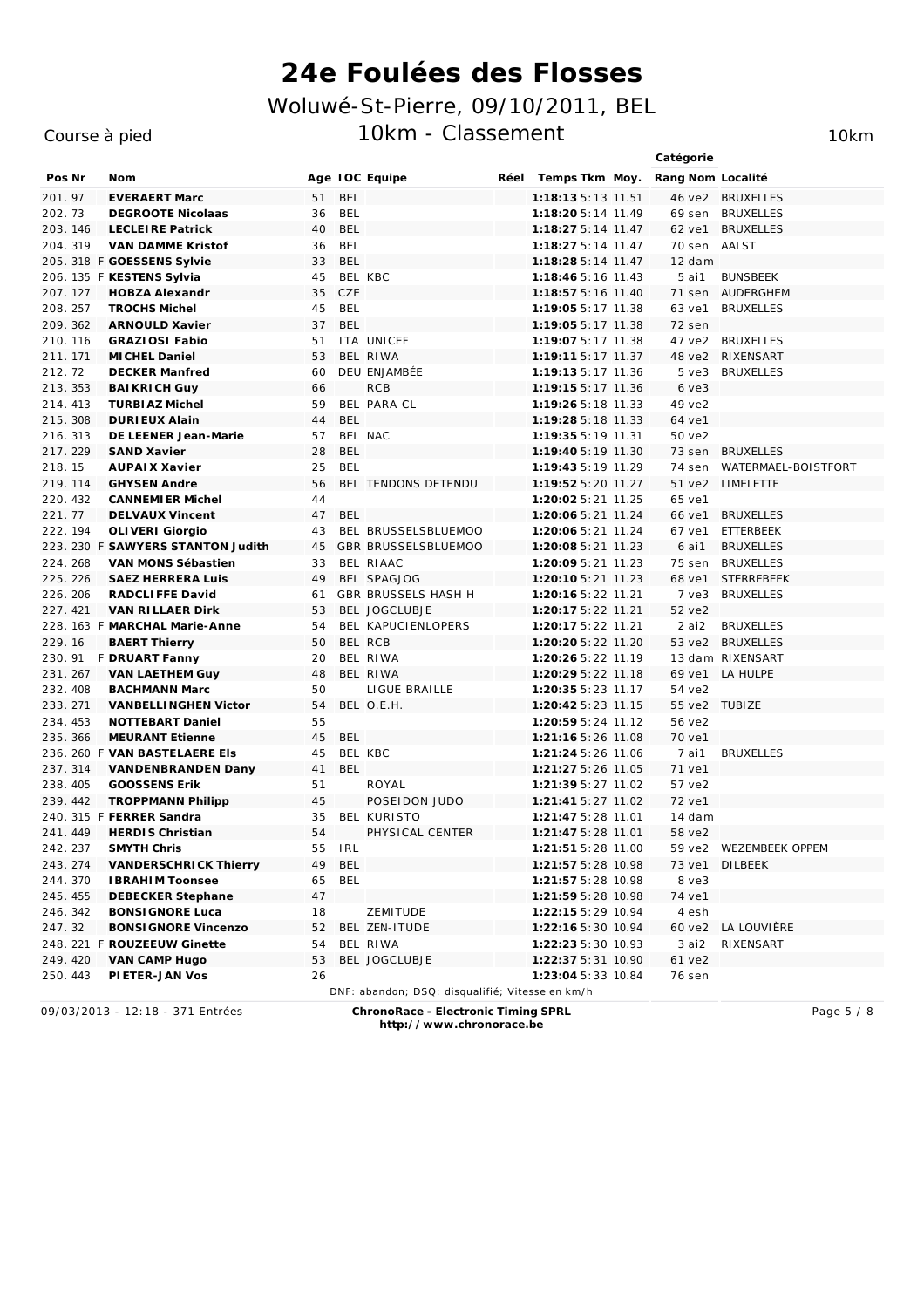#### Course à pied

Catégorie Pos Nr Nom Age TOC Equipe Réel Temps Tkm Moy. Rang Nom Localité 201.97 **EVERAERT Marc**  $51$ **BEL**  $1:18:13\ 5:13\ 11.51$ 46 ve2 BRUXELLES 202.73 **DEGROOTE Nicolaas** 36 **BFL**  $1:18:205:14$   $11.49$ 69 sen BRUXFLLFS 203.146 **LECLEIRE Patrick**  $40$ **BEL** 1:18:27 5:14 11.47 62 ve1 BRUXELLES VAN DAMME Kristof **RFI** 204.319 36  $1:18:275:14$  11.47  $70$  sen **AALST** 205, 318 F GOESSENS Sylvie 33 **BEL**  $1:18:285:14$  11.47  $12$  dam 206. 135 F KESTENS Sylvia  $45$ BEL KBC  $1.18.465.16$   $11.43$  $5$ ai1 **BUINSBEEK** 207.127 **HOBZA Alexandr**  $CZF$ 1:18:57 5:16 11.40 71 sen AUDERGHEM 35 208.257 **TROCHS Michel** 45 **BEL** 1:19:05 5:17 11.38 63 ve1 **BRUXELLES** 209 362 ARNOLIL D. Xavier  $37$ **REL**  $1.19.055:17$   $11.38$  $72$  sen 210.116 **GRAZIOSI Fabio**  $51$ ITA UNICEF 1:19:07 5:17 11.38 **BRUXELLES** 47 ve2 BEL RIWA MICHEL Daniel 1:19:11 5:17 11.37 RIXENSART 211.171 53 48 ve2 DELL ENJAMBÉE  $212, 72$ DECKER Manfred  $1.19.135.177736$ **BRIJYELLES**  $60$  $5.102$ **BAIKRICH Guy** 213.353 66  $RCB$ 1:19:15 5:17 11.36  $6 \text{ v}e3$ 214 413 TURBLAZ Michel  $59$ **BEL PARA CL**  $1.19.265.18$   $11.33$  $49$  ye2 **DURLEUX Alain BFL**  $1:19:285:18$   $11.33$ 215.308  $44$ 64 ve1 216.313 DE LEENER Jean-Marie 57 BEL NAC 1:19:35 5:19 11.31 50 ve2  $1.19.405.19$  11.30 217 229 SAND Xavier  $28$ **RFI**  $73$  sen **BRUXELLES AUPAIX Xavier WATERMAEL-BOISTFORT** 218.15 25 **RFI** 1:19:43 5:19 11.29 74 sen 219.114 **GHYSEN Andre** 56 BEL TENDONS DETENDU 1:19:52 5:20 11.27 51 ye2 LIMELETTE  $220.432$ CANNEMLER Michel  $\Delta\Delta$  $1:20:025:21$   $11.25$ 65 Ve1 221.77 **DELVAUX Vincent** 47 **BFL** 1:20:06 5:21 11.24 66 ve1 **BRUXELLES** 222.194 OLIVERI Giorgio BEL BRUSSELSBLUEMOO 1:20:06 5:21 11.24 67 ve1 **FTTFRBFFK**  $43$ 1:20:08 5:21 11.23 6 ai1 223 230 E SAWYERS STANTON Judith  $45$ GBR BRUSSELSBLUEMOO **BRUXELLES** 224.268 VAN MONS Sébastien 33 BEL RIAAC 1:20:09 5:21 11.23 75 sen BRUXELLES 225 226 **SAEZ HERRERA Luis**  $\overline{A}$ BEL SPAGIOG 1:20:10 5:21 11.23 68 ve1 **STERREBEEK** 226 206 RADCLIFFE David GBR BRUSSELS HASH H **BRIJXELLES**  $61$  $1.20.165.22$  11 21  $7.193$ 227 421 **VAN RILLAER Dirk** 53 BEL JOGCLUBJE 1:20:17 5:22 11.21  $52$  ye<sub>2</sub> 228. 163 F MARCHAL Marie-Anne  $54$ **REL KAPLICIENI OPERS**  $1.20.175.22$   $11.21$  $2$  ai $2$ **BRIVELLES** BEL RCB 229 16 **BAERT Thierry**  $50$  $1.20.205.22772720$  $53 \text{ V}^2$  BRIIXFIIFS 230. 91 F DRUART Fanny  $20$ BFL RIWA  $1:20:265:22$  11.19 13 dam RIXENSART 231.267 **VAN LAETHEM Guy**  $\Delta$ <sup> $\alpha$ </sup> BEL RIWA  $1:20:295:22$  11.18 69 ye1 LA HULPF **BACHMANN Marc** 50 LIGUE BRAILLE 1:20:35 5:23 11.17 232.408 54 ve2 233 271 **VANBELLINGHEN Victor** 54 BEL O.E.H. 1:20:42 5:23 11.15 55 ve2 TUBIZE 1:20:59 5:24 11.12 234 453 **NOTTEBART Daniel** 55 56 ye2 235.366 MEURANT Etienne **BEL** 1:21:16 5:26 11.08 70 ve1 45 236. 260 F VAN BASTELAERE EIS 45 BEL KBC 1:21:24 5:26 11.06 **BRUXELLES**  $7$  ai $1$ 237.314 VANDENBRANDEN Dany  $41$ **RFI**  $1:21:275:26$  11.05 71 ve1 238.405 **GOOSSENS Erik** ROYAL 1:21:39 5:27 11.02  $51$ 57 ve2 239.442 **TROPPMANN Philipp** 45 POSEIDON JUDO 1:21:41 5:27 11.02 72 ve1 240 315 E FERRER Sandra **REL KURISTO**  $1.21.475.28$  11 01  $35$  $14$  dam PHYSICAL CENTER 241 449 **HERDIS Christian** 54  $1.21.475.28$  11 01 58 ye2 242.237 SMYTH Chris 55 **IRI**  $1:21:515:28$   $11.00$ 59 Ve2 **WEZEMBEEK OPPEM BEL** 243 274 VANDERSCHRICK Thierry 49  $1.21.575.281098$ **DILBEEK** 73 ve1 **REI** 1:21:57 5:28 10.98 244.370 **IBRAHIM Toonsee** 65 8 ye3 245 455 **DEBECKER Stephane** 47  $1:21:595:28$  10.98 74 ye1 ZEMITUDE 246.342 **BONSI GNORE Luca**  $18$ 1:22:15 5:29 10.94 4 esh 247.32 **BONSI GNORE Vincenzo** 52 BEL ZEN-ITUDE 1:22:16 5:30 10.94 60 ve2 LA LOUVIÈRE 248. 221 F ROUZEFUW Ginette 54 BEL RIWA  $1:22:235:30$   $10.93$ 3 ai2 RIXENSART 249 420 VAN CAMP Hugo 53 BEL JOGCLUBJE  $1.22.375.31$  10.90  $61$  ye2 250.443 PI ETER-JAN Vos  $26$ 1:23:04 5:33 10.84 **76 sen** DNF: abandon; DSQ: disqualifié; Vitesse en km/h

09/03/2013 - 12:18 - 371 Entrées

ChronoRace - Electronic Timing SPRL http://www.chronorace.be

Page 5 / 8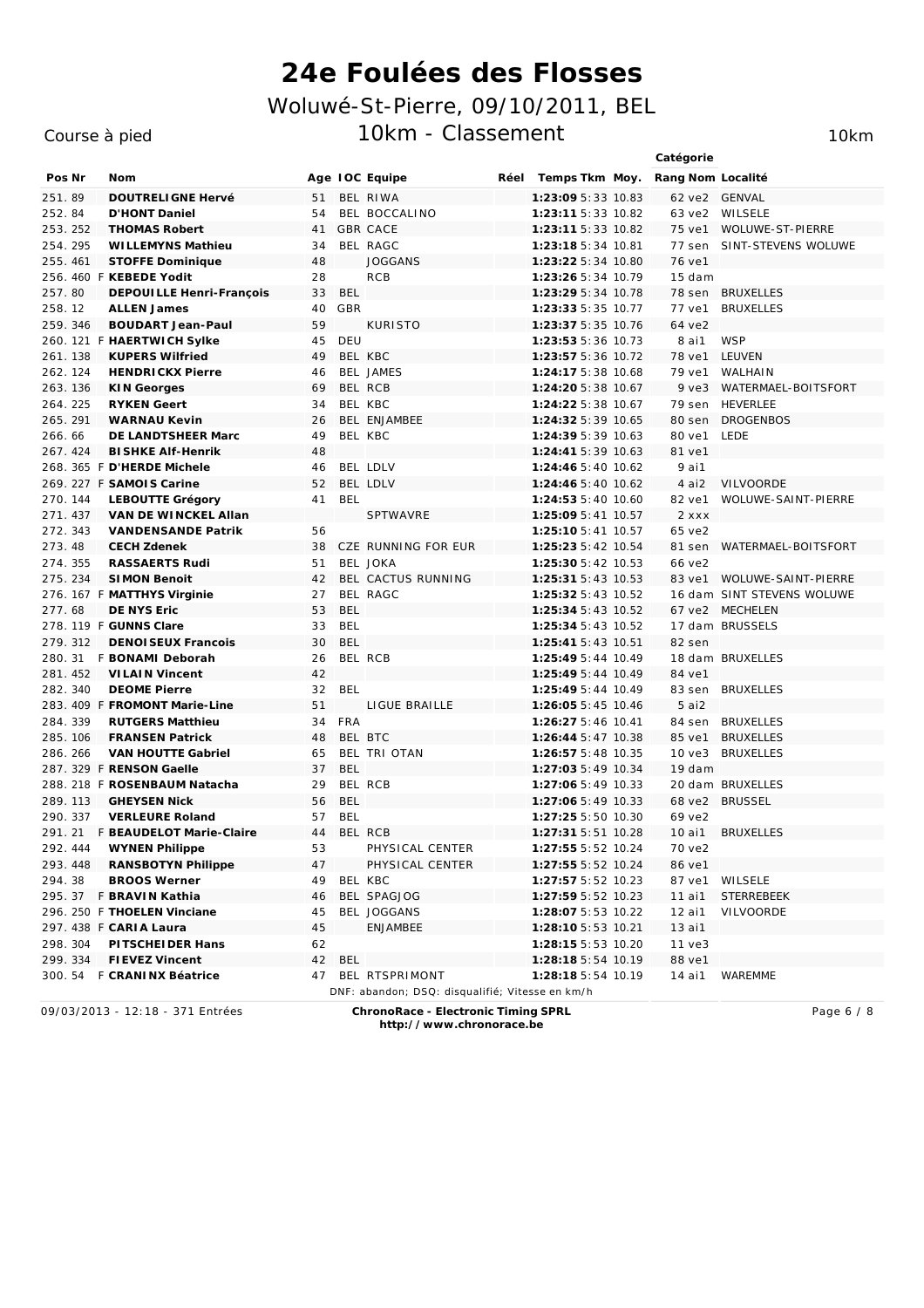### Course à pied

10km

|          |                                  |    |            |                                                 |      |                       | Catégorie         |                            |
|----------|----------------------------------|----|------------|-------------------------------------------------|------|-----------------------|-------------------|----------------------------|
| Pos Nr   | Nom                              |    |            | Age IOC Equipe                                  | Réel | Temps Tkm Moy.        | Rang Nom Localité |                            |
| 251.89   | <b>DOUTRELIGNE Hervé</b>         | 51 |            | BEL RIWA                                        |      | 1:23:09 5:33 10.83    | 62 ve2            | <b>GENVAL</b>              |
| 252.84   | D'HONT Daniel                    | 54 |            | BEL BOCCALINO                                   |      | 1:23:11 5:33 10.82    | 63 ve2            | WILSELE                    |
| 253.252  | <b>THOMAS Robert</b>             | 41 |            | <b>GBR CACE</b>                                 |      | 1:23:11 5:33 10.82    | 75 ve1            | <b>WOLUWE-ST-PIERRE</b>    |
| 254.295  | WI LLEMYNS Mathieu               | 34 |            | BEL RAGC                                        |      | $1:23:185:34$ 10.81   | 77 sen            | SINT-STEVENS WOLUWE        |
| 255.461  | <b>STOFFE Dominique</b>          | 48 |            | <b>JOGGANS</b>                                  |      | 1:23:22 5:34 10.80    | 76 ve1            |                            |
|          | 256. 460 F KEBEDE Yodit          | 28 |            | <b>RCB</b>                                      |      | 1:23:26 5:34 10.79    | 15 dam            |                            |
| 257.80   | DEPOUILLE Henri-François         | 33 | <b>BEL</b> |                                                 |      | 1:23:29 5:34 10.78    | 78 sen            | <b>BRUXELLES</b>           |
| 258.12   | <b>ALLEN James</b>               | 40 | GBR        |                                                 |      | 1:23:33 5:35 10.77    | 77 ve1            | <b>BRUXELLES</b>           |
| 259.346  | <b>BOUDART Jean-Paul</b>         | 59 |            | <b>KURISTO</b>                                  |      | 1:23:37 5:35 10.76    | 64 ve2            |                            |
|          | 260. 121 F HAERTWICH Sylke       | 45 | DEU        |                                                 |      | 1:23:53 5:36 10.73    | 8 ai1             | <b>WSP</b>                 |
| 261.138  | <b>KUPERS Wilfried</b>           | 49 |            | BEL KBC                                         |      | 1:23:57 5:36 10.72    | 78 ve1            | <b>LEUVEN</b>              |
| 262.124  | <b>HENDRICKX Pierre</b>          | 46 |            | <b>BEL JAMES</b>                                |      | 1:24:17 5:38 10.68    | 79 ve1            | <b>WALHAIN</b>             |
| 263. 136 | KIN Georges                      | 69 |            | BEL RCB                                         |      | 1:24:20 5:38 10.67    | $9$ $ve3$         | WATERMAEL-BOITSFORT        |
| 264.225  | <b>RYKEN Geert</b>               | 34 |            | BEL KBC                                         |      | 1:24:22 5:38 10.67    | 79 sen            | <b>HEVERLEE</b>            |
| 265.291  | <b>WARNAU Kevin</b>              | 26 |            | BEL ENJAMBEE                                    |      | 1:24:32 5:39 10.65    | 80 sen            | <b>DROGENBOS</b>           |
| 266.66   | DE LANDTSHEER Marc               | 49 |            | BEL KBC                                         |      | 1:24:39 5:39 10.63    | 80 ve1            | <b>LEDE</b>                |
| 267.424  | <b>BI SHKE Alf-Henrik</b>        | 48 |            |                                                 |      | 1:24:41 5:39 10.63    | 81 ve1            |                            |
|          | 268. 365 F D'HERDE Michele       | 46 |            | BEL LDLV                                        |      | 1:24:46 5:40 10.62    | 9 ai1             |                            |
|          | 269. 227 F SAMOIS Carine         | 52 |            | BEL LDLV                                        |      | 1:24:46 5:40 10.62    | 4 ai2             | <b>VILVOORDE</b>           |
| 270. 144 | LEBOUTTE Grégory                 | 41 | <b>BEL</b> |                                                 |      | 1:24:53 5:40 10.60    | 82 ve1            | <b>WOLUWE-SAINT-PIERRE</b> |
| 271.437  | VAN DE WINCKEL Allan             |    |            | SPTWAVRE                                        |      | 1:25:09 5:41 10.57    | $2$ $x$ $x$ $x$   |                            |
| 272.343  | <b>VANDENSANDE Patrik</b>        | 56 |            |                                                 |      | $1:25:105:41$ $10.57$ | 65 ve2            |                            |
| 273.48   | <b>CECH Zdenek</b>               | 38 |            | CZE RUNNING FOR EUR                             |      | 1:25:23 5:42 10.54    | 81 sen            | WATERMAEL-BOITSFORT        |
| 274.355  | <b>RASSAERTS Rudi</b>            | 51 |            | <b>BEL JOKA</b>                                 |      | 1:25:30 5:42 10.53    | 66 ve2            |                            |
| 275.234  | <b>SIMON Benoit</b>              | 42 |            | BEL CACTUS RUNNING                              |      | 1:25:31 5:43 10.53    | 83 ve1            | <b>WOLUWE-SAINT-PIERRE</b> |
|          | 276. 167 F MATTHYS Virginie      | 27 |            | BEL RAGC                                        |      | 1:25:32 5:43 10.52    |                   | 16 dam SINT STEVENS WOLUWE |
| 277.68   | DE NYS Eric                      | 53 | <b>BEL</b> |                                                 |      | 1:25:34 5:43 10.52    | 67 ve2            | <b>MECHELEN</b>            |
|          | 278. 119 F GUNNS Clare           | 33 | <b>BEL</b> |                                                 |      | 1:25:34 5:43 10.52    |                   | 17 dam BRUSSELS            |
| 279.312  | <b>DENOI SEUX Francois</b>       | 30 | <b>BEL</b> |                                                 |      | 1:25:41 5:43 10.51    | 82 sen            |                            |
|          | 280. 31 F BONAMI Deborah         | 26 |            | BEL RCB                                         |      | 1:25:49 5:44 10.49    |                   | 18 dam BRUXELLES           |
| 281.452  | <b>VILAIN Vincent</b>            | 42 |            |                                                 |      | 1:25:49 5:44 10.49    | 84 ve1            |                            |
| 282.340  | <b>DEOME Pierre</b>              | 32 | <b>BEL</b> |                                                 |      | 1:25:49 5:44 10.49    | 83 sen            | <b>BRUXELLES</b>           |
|          | 283. 409 F FROMONT Marie-Line    | 51 |            | LIGUE BRAILLE                                   |      | 1:26:05 5:45 10.46    | 5ai2              |                            |
| 284.339  | <b>RUTGERS Matthieu</b>          | 34 | <b>FRA</b> |                                                 |      | 1:26:27 5:46 10.41    | 84 sen            | <b>BRUXELLES</b>           |
| 285. 106 | <b>FRANSEN Patrick</b>           | 48 |            | BEL BTC                                         |      | 1:26:44 5:47 10.38    | 85 ve1            | <b>BRUXELLES</b>           |
| 286.266  | <b>VAN HOUTTE Gabriel</b>        | 65 |            | BEL TRI OTAN                                    |      | 1:26:57 5:48 10.35    | 10 <sub>ve3</sub> | <b>BRUXELLES</b>           |
|          | 287. 329 F RENSON Gaelle         | 37 | <b>BEL</b> |                                                 |      | 1:27:03 5:49 10.34    | 19 dam            |                            |
|          | 288. 218 F ROSENBAUM Natacha     | 29 |            | BEL RCB                                         |      | 1:27:06 5:49 10.33    |                   | 20 dam BRUXELLES           |
| 289.113  | <b>GHEYSEN Nick</b>              | 56 | <b>BEL</b> |                                                 |      | 1:27:06 5:49 10.33    | 68 ve2            | <b>BRUSSEL</b>             |
| 290.337  | <b>VERLEURE Roland</b>           | 57 | <b>BEL</b> |                                                 |      | 1:27:25 5:50 10.30    | 69 ve2            |                            |
|          | 291. 21 F BEAUDELOT Marie-Claire | 44 |            | BEL RCB                                         |      | 1:27:31 5:51 10.28    | 10 ai1            | <b>BRUXELLES</b>           |
| 292.444  | WYNEN Philippe                   | 53 |            | PHYSICAL CENTER                                 |      | 1:27:55 5:52 10.24    | 70 ve2            |                            |
| 293.448  | RANSBOTYN Philippe               | 47 |            | PHYSICAL CENTER                                 |      | 1:27:55 5:52 10.24    | 86 ve1            |                            |
| 294.38   | <b>BROOS Werner</b>              | 49 |            | BEL KBC                                         |      | 1:27:57 5:52 10.23    | 87 ve1            | WILSELE                    |
|          | 295. 37 F BRAVIN Kathia          | 46 |            | BEL SPAGJOG                                     |      | 1:27:59 5:52 10.23    | 11 ai1            | <b>STERREBEEK</b>          |
|          | 296. 250 F THOELEN Vinciane      | 45 |            | BEL JOGGANS                                     |      | 1:28:07 5:53 10.22    | 12 ai1            | <b>VILVOORDE</b>           |
|          | 297. 438 F CARIA Laura           | 45 |            | ENJAMBEE                                        |      | 1:28:10 5:53 10.21    | 13 ai1            |                            |
| 298.304  | PITSCHEIDER Hans                 | 62 |            |                                                 |      | 1:28:15 5:53 10.20    | $11$ $ve3$        |                            |
| 299.334  | FI EVEZ Vincent                  |    | 42 BEL     |                                                 |      | 1:28:18 5:54 10.19    | 88 ve1            |                            |
|          | 300. 54 F CRANINX Béatrice       |    |            | 47 BEL RTSPRIMONT                               |      | 1:28:18 5:54 10.19    | 14 ai1            | <b>WAREMME</b>             |
|          |                                  |    |            | DNF: abandon; DSQ: disqualifié; Vitesse en km/h |      |                       |                   |                            |

09/03/2013 - 12:18 - 371 Entrées

ChronoRace - Electronic Timing SPRL http://www.chronorace.be

Page 6 / 8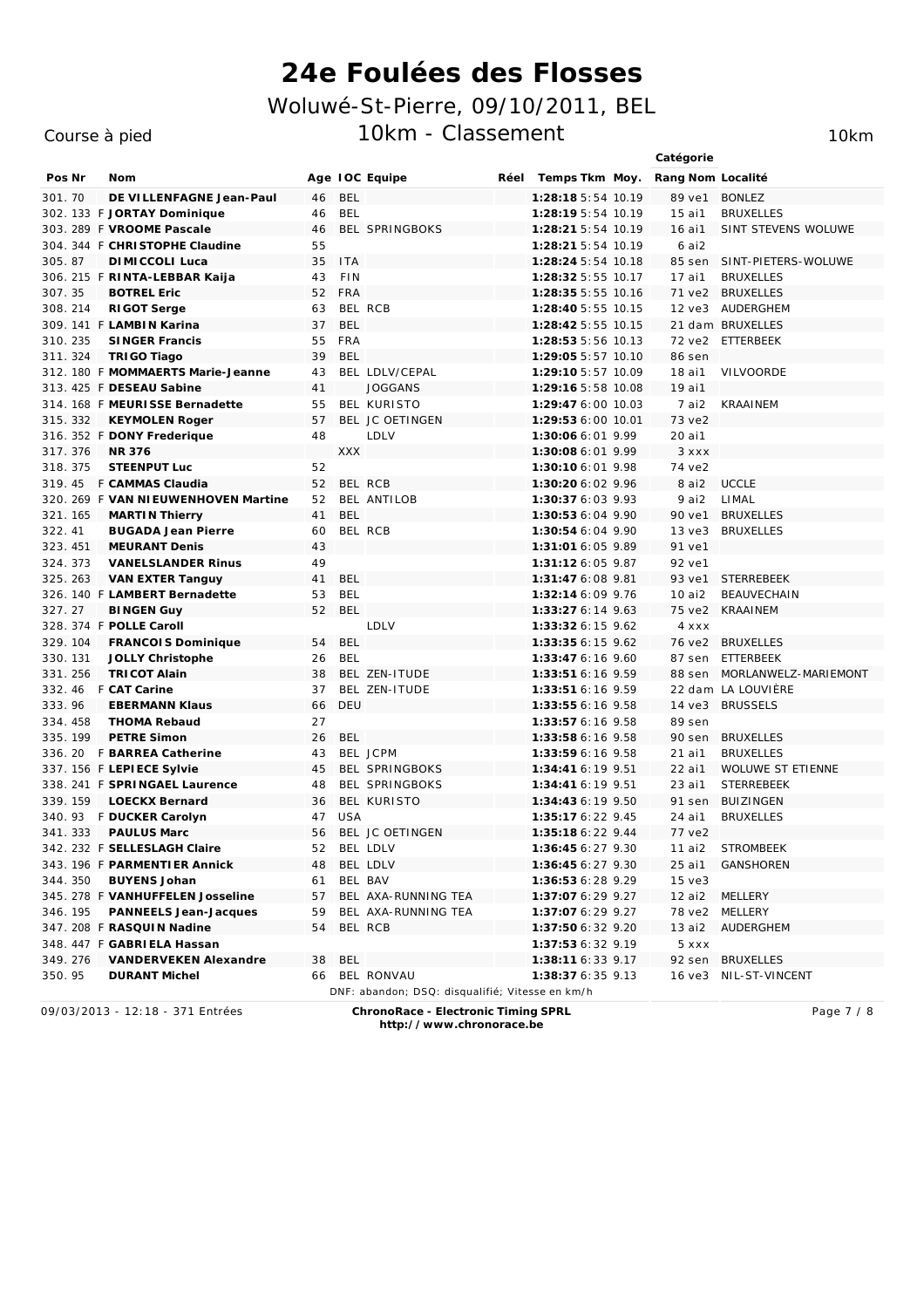### Course à pied

10km

|          |                                      |    |            |                                                 |      |                    | Catégorie         |                            |
|----------|--------------------------------------|----|------------|-------------------------------------------------|------|--------------------|-------------------|----------------------------|
| Pos Nr   | Nom                                  |    |            | Age IOC Equipe                                  | Réel | Temps Tkm Moy.     | Rang Nom Localité |                            |
| 301.70   | DE VILLENFAGNE Jean-Paul             | 46 | <b>BEL</b> |                                                 |      | 1:28:18 5:54 10.19 | 89 ve1            | <b>BONLEZ</b>              |
|          | 302. 133 F JORTAY Dominique          | 46 | <b>BEL</b> |                                                 |      | 1:28:19 5:54 10.19 | 15 ai1            | <b>BRUXELLES</b>           |
|          | 303. 289 F VROOME Pascale            | 46 |            | <b>BEL SPRINGBOKS</b>                           |      | 1:28:21 5:54 10.19 | 16 ai1            | <b>SINT STEVENS WOLUWE</b> |
|          | 304. 344 F CHRISTOPHE Claudine       | 55 |            |                                                 |      | 1:28:21 5:54 10.19 | 6 ai2             |                            |
| 305.87   | DI MI CCOLI Luca                     | 35 | <b>ITA</b> |                                                 |      | 1:28:24 5:54 10.18 | 85 sen            | SINT-PIETERS-WOLUWE        |
|          | 306. 215 F RINTA-LEBBAR Kaija        | 43 | <b>FIN</b> |                                                 |      | 1:28:32 5:55 10.17 | 17 ai1            | <b>BRUXELLES</b>           |
| 307.35   | <b>BOTREL Eric</b>                   | 52 | <b>FRA</b> |                                                 |      | 1:28:35 5:55 10.16 | 71 ve2            | <b>BRUXELLES</b>           |
| 308.214  | RI GOT Serge                         | 63 |            | BEL RCB                                         |      | 1:28:40 5:55 10.15 |                   | 12 ve3 AUDERGHEM           |
|          | 309. 141 F LAMBIN Karina             | 37 | <b>BEL</b> |                                                 |      | 1:28:42 5:55 10.15 |                   | 21 dam BRUXELLES           |
| 310.235  | SINGER Francis                       | 55 | <b>FRA</b> |                                                 |      | 1:28:53 5:56 10.13 | 72 ve2            | ETTERBEEK                  |
| 311.324  | TRIGO Tiago                          | 39 | BEL        |                                                 |      | 1:29:05 5:57 10.10 | 86 sen            |                            |
|          | 312. 180 F MOMMAERTS Marie-Jeanne    | 43 |            | BEL LDLV/CEPAL                                  |      | 1:29:10 5:57 10.09 | 18 ai1            | <b>VILVOORDE</b>           |
|          | 313. 425 F DESEAU Sabine             | 41 |            | <b>JOGGANS</b>                                  |      | 1:29:16 5:58 10.08 | 19 ai1            |                            |
|          | 314. 168 F MEURISSE Bernadette       | 55 |            | BEL KURISTO                                     |      | 1:29:47 6:00 10.03 | $7$ ai2           | <b>KRAAINEM</b>            |
| 315.332  | KEYMOLEN Roger                       | 57 |            | BEL JC OETINGEN                                 |      | 1:29:53 6:00 10.01 | 73 ve2            |                            |
|          | 316. 352 F DONY Frederique           | 48 |            | LDLV                                            |      | 1:30:06 6:01 9.99  | 20 ai1            |                            |
| 317.376  | NR 376                               |    | <b>XXX</b> |                                                 |      | 1:30:08 6:01 9.99  | 3 x x x           |                            |
| 318.375  | STEENPUT Luc                         | 52 |            |                                                 |      | 1:30:10 6:01 9.98  | 74 ve2            |                            |
|          | 319.45 F CAMMAS Claudia              | 52 |            | BEL RCB                                         |      | 1:30:20 6:02 9.96  | 8 ai2             | <b>UCCLE</b>               |
|          | 320. 269 F VAN NI EUWENHOVEN Martine | 52 |            | BEL ANTILOB                                     |      | 1:30:37 6:03 9.93  | 9 ai2             | LIMAL                      |
| 321.165  | <b>MARTIN Thierry</b>                | 41 | <b>BEL</b> |                                                 |      | 1:30:53 6:04 9.90  | 90 ve1            | <b>BRUXELLES</b>           |
| 322.41   | <b>BUGADA Jean Pierre</b>            | 60 |            | BEL RCB                                         |      | 1:30:54 6:04 9.90  | $13$ ve $3$       | <b>BRUXELLES</b>           |
| 323.451  | <b>MEURANT Denis</b>                 | 43 |            |                                                 |      | 1:31:01 6:05 9.89  | 91 ve1            |                            |
| 324.373  | <b>VANELSLANDER Rinus</b>            | 49 |            |                                                 |      | $1:31:126:05$ 9.87 | 92 ve1            |                            |
| 325.263  | VAN EXTER Tanguy                     | 41 | <b>BEL</b> |                                                 |      | 1:31:47 6:08 9.81  | 93 ve1            | <b>STERREBEEK</b>          |
|          | 326. 140 F LAMBERT Bernadette        | 53 | <b>BEL</b> |                                                 |      | 1:32:14 6:09 9.76  | 10ai2             | <b>BFAUVFCHAIN</b>         |
| 327.27   | <b>BINGEN Guy</b>                    | 52 | <b>BEL</b> |                                                 |      | 1:33:27 6:14 9.63  | 75 ve2            | <b>KRAAINEM</b>            |
|          | 328. 374 F POLLE Caroll              |    |            | LDLV                                            |      | 1:33:32 6:15 9.62  | 4 x x x           |                            |
| 329.104  | <b>FRANCOIS Dominique</b>            | 54 | <b>BEL</b> |                                                 |      | 1:33:35 6:15 9.62  |                   | 76 ve2 BRUXELLES           |
| 330. 131 | JOLLY Christophe                     | 26 | <b>BEL</b> |                                                 |      | 1:33:47 6:16 9.60  | 87 sen            | ETTERBEEK                  |
| 331.256  | <b>TRICOT Alain</b>                  | 38 |            | BEL ZEN-ITUDE                                   |      | $1:33:516:16$ 9.59 | 88 sen            | MORLANWELZ-MARIEMONT       |
|          | 332. 46 F CAT Carine                 | 37 |            | BEL ZEN-ITUDE                                   |      | $1:33:516:16$ 9.59 |                   | 22 dam LA LOUVIÈRE         |
| 333.96   | <b>EBERMANN Klaus</b>                | 66 | DEU        |                                                 |      | 1:33:55 6:16 9.58  | 14 ve3            | <b>BRUSSELS</b>            |
| 334.458  | <b>THOMA Rebaud</b>                  | 27 |            |                                                 |      | 1:33:57 6:16 9.58  | 89 sen            |                            |
| 335.199  | <b>PETRE Simon</b>                   | 26 | <b>BEL</b> |                                                 |      | 1:33:58 6:16 9.58  | 90 sen            | <b>BRUXELLES</b>           |
|          | 336. 20 F BARREA Catherine           | 43 |            | BEL JCPM                                        |      | $1:33:596:16$ 9.58 | 21 ai1            | <b>BRUXELLES</b>           |
|          | 337. 156 F LEPIECE Sylvie            | 45 |            | <b>BEL SPRINGBOKS</b>                           |      | $1:34:416:19$ 9.51 | 22 ai1            | <b>WOLUWE ST ETIENNE</b>   |
|          | 338. 241 F SPRINGAEL Laurence        | 48 |            | <b>BEL SPRINGBOKS</b>                           |      | 1:34:41 6:19 9.51  | 23 ai1            | <b>STERREBEEK</b>          |
|          | 339. 159 LOECKX Bernard              | 36 |            | BEL KURISTO                                     |      | 1:34:43 6:19 9.50  | 91 sen            | <b>BUIZINGEN</b>           |
|          | 340. 93 F DUCKER Carolyn             | 47 | <b>USA</b> |                                                 |      | 1:35:17 6:22 9.45  | 24 ai1            | <b>BRUXELLES</b>           |
| 341.333  | <b>PAULUS Marc</b>                   | 56 |            | BEL JC OETINGEN                                 |      | 1:35:18 6:22 9.44  | 77 ve2            |                            |
|          | 342. 232 F SELLESLAGH Claire         |    |            | 52 BEL LDLV                                     |      | 1:36:45 6:27 9.30  | 11 ai2            | <b>STROMBEEK</b>           |
|          | 343. 196 F PARMENTI ER Annick        | 48 |            | BEL LDLV                                        |      | 1:36:456:279.30    | 25 ai1            | <b>GANSHOREN</b>           |
| 344.350  | <b>BUYENS Johan</b>                  | 61 |            | BEL BAV                                         |      | 1:36:53 6:28 9.29  | $15$ ve $3$       |                            |
|          | 345. 278 F VANHUFFELEN Josseline     | 57 |            | BEL AXA-RUNNING TEA                             |      | 1:37:07 6:29 9.27  | 12 ai2            | MELLERY                    |
| 346.195  | PANNEELS Jean-Jacques                | 59 |            | BEL AXA-RUNNING TEA                             |      | 1:37:07 6:29 9.27  |                   | 78 ve2 MELLERY             |
|          | 347. 208 F RASQUIN Nadine            | 54 |            | BEL RCB                                         |      | 1:37:50 6:32 9.20  | 13 ai2            | <i>AUDERGHEM</i>           |
|          | 348. 447 F GABRIELA Hassan           |    |            |                                                 |      | 1:37:53 6:32 9.19  | 5 xxx             |                            |
| 349.276  | VANDERVEKEN Alexandre                |    | 38 BEL     |                                                 |      | 1:38:11 6:33 9.17  |                   | 92 sen BRUXELLES           |
| 350.95   | <b>DURANT Michel</b>                 |    |            | 66 BEL RONVAU                                   |      | 1:38:376:359.13    |                   | 16 ye3 NIL-ST-VINCENT      |
|          |                                      |    |            | DNF: abandon; DSQ: disqualifié; Vitesse en km/h |      |                    |                   |                            |

09/03/2013 - 12:18 - 371 Entrées

ChronoRace - Electronic Timing SPRL

Page 7 / 8

http://www.chronorace.be